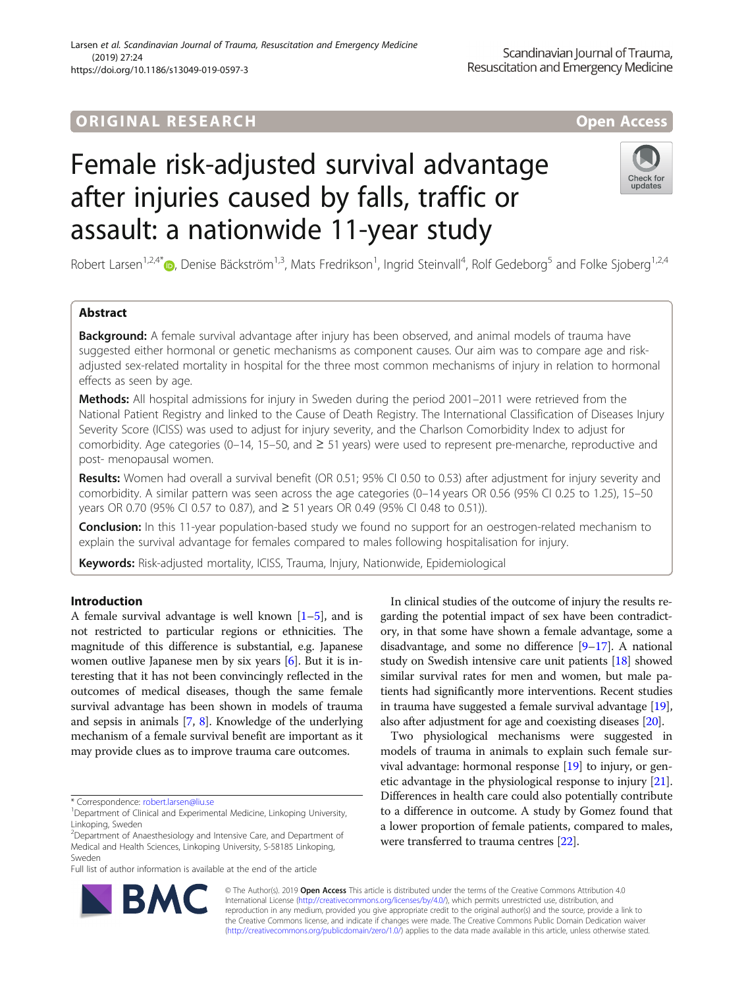# **ORIGINAL RESEARCH And Access** open Access

# Female risk-adjusted survival advantage after injuries caused by falls, traffic or assault: a nationwide 11-year study



Robert Larsen<sup>1,2,4[\\*](http://orcid.org/0000-0002-9697-4955)</sup> $\bullet$ , Denise Bäckström<sup>1,3</sup>, Mats Fredrikson<sup>1</sup>, Ingrid Steinvall<sup>4</sup>, Rolf Gedeborg<sup>5</sup> and Folke Sjoberg<sup>1,2,4</sup>

# Abstract

Background: A female survival advantage after injury has been observed, and animal models of trauma have suggested either hormonal or genetic mechanisms as component causes. Our aim was to compare age and riskadjusted sex-related mortality in hospital for the three most common mechanisms of injury in relation to hormonal effects as seen by age.

Methods: All hospital admissions for injury in Sweden during the period 2001–2011 were retrieved from the National Patient Registry and linked to the Cause of Death Registry. The International Classification of Diseases Injury Severity Score (ICISS) was used to adjust for injury severity, and the Charlson Comorbidity Index to adjust for comorbidity. Age categories (0–14, 15–50, and ≥ 51 years) were used to represent pre-menarche, reproductive and post- menopausal women.

Results: Women had overall a survival benefit (OR 0.51; 95% CI 0.50 to 0.53) after adjustment for injury severity and comorbidity. A similar pattern was seen across the age categories (0–14 years OR 0.56 (95% CI 0.25 to 1.25), 15–50 years OR 0.70 (95% CI 0.57 to 0.87), and ≥ 51 years OR 0.49 (95% CI 0.48 to 0.51)).

Conclusion: In this 11-year population-based study we found no support for an oestrogen-related mechanism to explain the survival advantage for females compared to males following hospitalisation for injury.

Keywords: Risk-adjusted mortality, ICISS, Trauma, Injury, Nationwide, Epidemiological

# Introduction

A female survival advantage is well known  $[1-5]$  $[1-5]$  $[1-5]$  $[1-5]$ , and is not restricted to particular regions or ethnicities. The magnitude of this difference is substantial, e.g. Japanese women outlive Japanese men by six years [[6\]](#page-5-0). But it is interesting that it has not been convincingly reflected in the outcomes of medical diseases, though the same female survival advantage has been shown in models of trauma and sepsis in animals [\[7](#page-5-0), [8](#page-5-0)]. Knowledge of the underlying mechanism of a female survival benefit are important as it may provide clues as to improve trauma care outcomes.

\* Correspondence: [robert.larsen@liu.se](mailto:robert.larsen@liu.se) <sup>1</sup>

Full list of author information is available at the end of the article



Two physiological mechanisms were suggested in models of trauma in animals to explain such female survival advantage: hormonal response [[19\]](#page-5-0) to injury, or genetic advantage in the physiological response to injury [[21](#page-5-0)]. Differences in health care could also potentially contribute to a difference in outcome. A study by Gomez found that a lower proportion of female patients, compared to males, were transferred to trauma centres [\[22\]](#page-5-0).



© The Author(s). 2019 **Open Access** This article is distributed under the terms of the Creative Commons Attribution 4.0 International License [\(http://creativecommons.org/licenses/by/4.0/](http://creativecommons.org/licenses/by/4.0/)), which permits unrestricted use, distribution, and reproduction in any medium, provided you give appropriate credit to the original author(s) and the source, provide a link to the Creative Commons license, and indicate if changes were made. The Creative Commons Public Domain Dedication waiver [\(http://creativecommons.org/publicdomain/zero/1.0/](http://creativecommons.org/publicdomain/zero/1.0/)) applies to the data made available in this article, unless otherwise stated.

<sup>&</sup>lt;sup>1</sup>Department of Clinical and Experimental Medicine, Linkoping University, Linkoping, Sweden

<sup>&</sup>lt;sup>2</sup>Department of Anaesthesiology and Intensive Care, and Department of Medical and Health Sciences, Linkoping University, S-58185 Linkoping, Sweden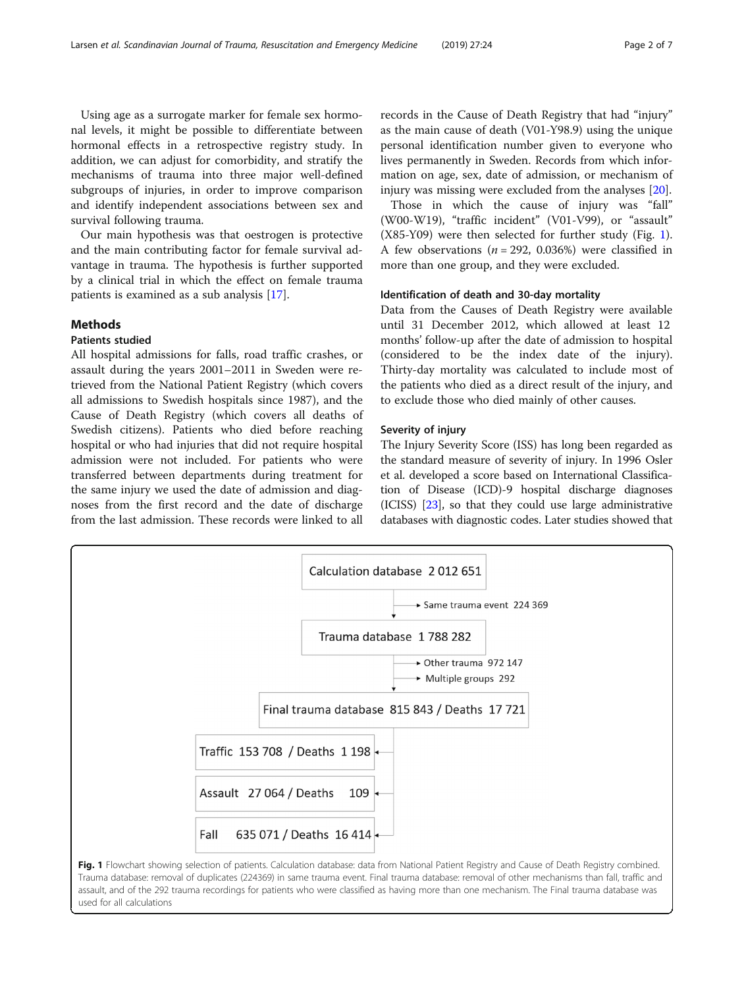<span id="page-1-0"></span>Using age as a surrogate marker for female sex hormonal levels, it might be possible to differentiate between hormonal effects in a retrospective registry study. In addition, we can adjust for comorbidity, and stratify the mechanisms of trauma into three major well-defined subgroups of injuries, in order to improve comparison and identify independent associations between sex and survival following trauma.

Our main hypothesis was that oestrogen is protective and the main contributing factor for female survival advantage in trauma. The hypothesis is further supported by a clinical trial in which the effect on female trauma patients is examined as a sub analysis [[17](#page-5-0)].

# **Methods**

# Patients studied

All hospital admissions for falls, road traffic crashes, or assault during the years 2001–2011 in Sweden were retrieved from the National Patient Registry (which covers all admissions to Swedish hospitals since 1987), and the Cause of Death Registry (which covers all deaths of Swedish citizens). Patients who died before reaching hospital or who had injuries that did not require hospital admission were not included. For patients who were transferred between departments during treatment for the same injury we used the date of admission and diagnoses from the first record and the date of discharge from the last admission. These records were linked to all

records in the Cause of Death Registry that had "injury" as the main cause of death (V01-Y98.9) using the unique personal identification number given to everyone who lives permanently in Sweden. Records from which information on age, sex, date of admission, or mechanism of injury was missing were excluded from the analyses [[20\]](#page-5-0).

Those in which the cause of injury was "fall" (W00-W19), "traffic incident" (V01-V99), or "assault" (X85-Y09) were then selected for further study (Fig. 1). A few observations ( $n = 292$ , 0.036%) were classified in more than one group, and they were excluded.

# Identification of death and 30-day mortality

Data from the Causes of Death Registry were available until 31 December 2012, which allowed at least 12 months' follow-up after the date of admission to hospital (considered to be the index date of the injury). Thirty-day mortality was calculated to include most of the patients who died as a direct result of the injury, and to exclude those who died mainly of other causes.

# Severity of injury

The Injury Severity Score (ISS) has long been regarded as the standard measure of severity of injury. In 1996 Osler et al. developed a score based on International Classification of Disease (ICD)-9 hospital discharge diagnoses (ICISS) [\[23\]](#page-5-0), so that they could use large administrative databases with diagnostic codes. Later studies showed that



Trauma database: removal of duplicates (224369) in same trauma event. Final trauma database: removal of other mechanisms than fall, traffic and assault, and of the 292 trauma recordings for patients who were classified as having more than one mechanism. The Final trauma database was used for all calculations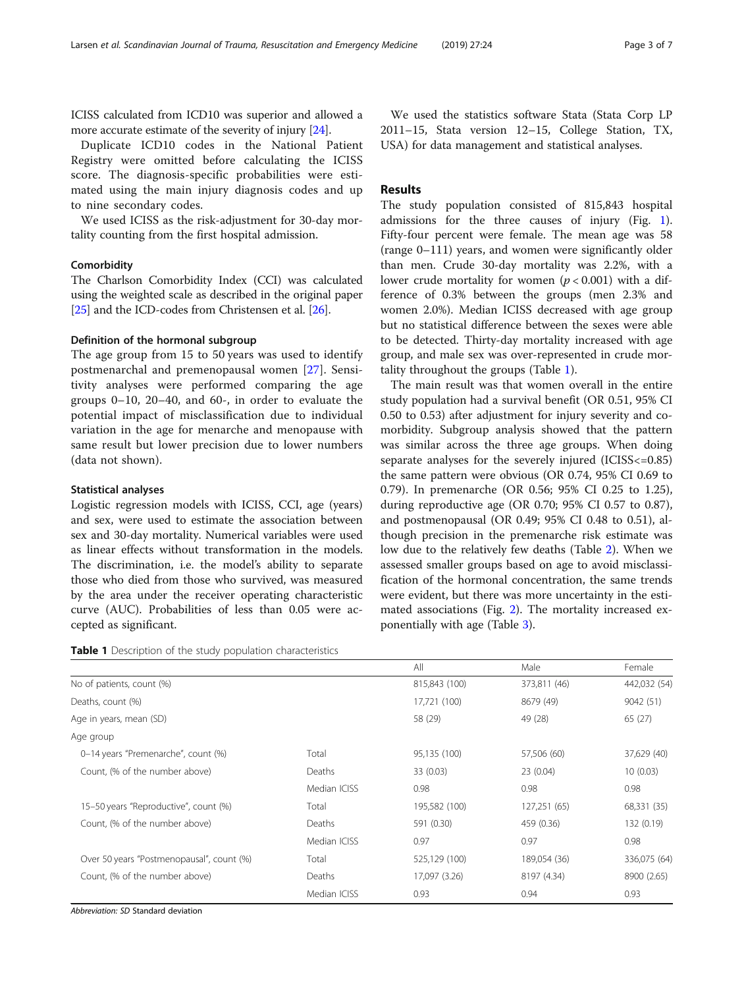ICISS calculated from ICD10 was superior and allowed a more accurate estimate of the severity of injury [\[24](#page-5-0)].

Duplicate ICD10 codes in the National Patient Registry were omitted before calculating the ICISS score. The diagnosis-specific probabilities were estimated using the main injury diagnosis codes and up to nine secondary codes.

We used ICISS as the risk-adjustment for 30-day mortality counting from the first hospital admission.

# **Comorbidity**

The Charlson Comorbidity Index (CCI) was calculated using the weighted scale as described in the original paper [[25](#page-5-0)] and the ICD-codes from Christensen et al. [\[26\]](#page-5-0).

# Definition of the hormonal subgroup

The age group from 15 to 50 years was used to identify postmenarchal and premenopausal women [[27\]](#page-6-0). Sensitivity analyses were performed comparing the age groups 0–10, 20–40, and 60-, in order to evaluate the potential impact of misclassification due to individual variation in the age for menarche and menopause with same result but lower precision due to lower numbers (data not shown).

# Statistical analyses

Logistic regression models with ICISS, CCI, age (years) and sex, were used to estimate the association between sex and 30-day mortality. Numerical variables were used as linear effects without transformation in the models. The discrimination, i.e. the model's ability to separate those who died from those who survived, was measured by the area under the receiver operating characteristic curve (AUC). Probabilities of less than 0.05 were accepted as significant.

**Table 1** Description of the study population characteristics

We used the statistics software Stata (Stata Corp LP 2011–15, Stata version 12–15, College Station, TX, USA) for data management and statistical analyses.

# Results

The study population consisted of 815,843 hospital admissions for the three causes of injury (Fig. [1](#page-1-0)). Fifty-four percent were female. The mean age was 58 (range 0–111) years, and women were significantly older than men. Crude 30-day mortality was 2.2%, with a lower crude mortality for women ( $p < 0.001$ ) with a difference of 0.3% between the groups (men 2.3% and women 2.0%). Median ICISS decreased with age group but no statistical difference between the sexes were able to be detected. Thirty-day mortality increased with age group, and male sex was over-represented in crude mortality throughout the groups (Table 1).

The main result was that women overall in the entire study population had a survival benefit (OR 0.51, 95% CI 0.50 to 0.53) after adjustment for injury severity and comorbidity. Subgroup analysis showed that the pattern was similar across the three age groups. When doing separate analyses for the severely injured (ICISS<=0.85) the same pattern were obvious (OR 0.74, 95% CI 0.69 to 0.79). In premenarche (OR 0.56; 95% CI 0.25 to 1.25), during reproductive age (OR 0.70; 95% CI 0.57 to 0.87), and postmenopausal (OR 0.49; 95% CI 0.48 to 0.51), although precision in the premenarche risk estimate was low due to the relatively few deaths (Table [2](#page-3-0)). When we assessed smaller groups based on age to avoid misclassification of the hormonal concentration, the same trends were evident, but there was more uncertainty in the estimated associations (Fig. [2](#page-3-0)). The mortality increased exponentially with age (Table [3](#page-4-0)).

|                                           |              | All                   | Male         | Female       |
|-------------------------------------------|--------------|-----------------------|--------------|--------------|
| No of patients, count (%)                 |              | 815,843 (100)         | 373,811 (46) | 442,032 (54) |
| Deaths, count (%)                         |              | 17,721 (100)          | 8679 (49)    | 9042 (51)    |
| Age in years, mean (SD)                   |              | 58 (29)               | 49 (28)      | 65 (27)      |
| Age group                                 |              |                       |              |              |
| 0-14 years "Premenarche", count (%)       | Total        | 95,135 (100)          | 57,506 (60)  | 37,629 (40)  |
| Count, (% of the number above)            | Deaths       | 33 (0.03)<br>23(0.04) |              | 10(0.03)     |
|                                           | Median ICISS | 0.98                  | 0.98         | 0.98         |
| 15-50 years "Reproductive", count (%)     | Total        | 195,582 (100)         | 127,251 (65) | 68,331 (35)  |
| Count, (% of the number above)            | Deaths       | 591 (0.30)            | 459 (0.36)   | 132 (0.19)   |
|                                           | Median ICISS | 0.97                  | 0.97         | 0.98         |
| Over 50 years "Postmenopausal", count (%) | Total        | 525,129 (100)         | 189,054 (36) | 336,075 (64) |
| Count, (% of the number above)            | Deaths       | 17,097 (3.26)         | 8197 (4.34)  | 8900 (2.65)  |
|                                           | Median ICISS | 0.93                  | 0.94         | 0.93         |

Abbreviation: SD Standard deviation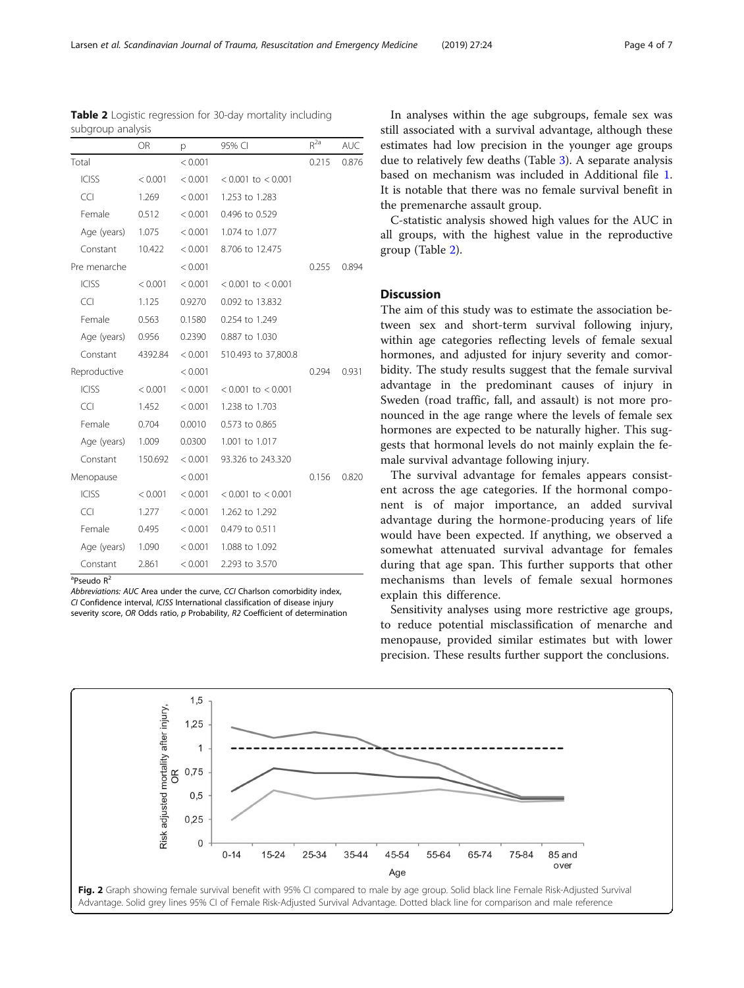Abbreviations: AUC Area under the curve, CCI Charlson comorbidity index, CI Confidence interval, ICISS International classification of disease injury severity score, OR Odds ratio, p Probability, R2 Coefficient of determination

In analyses within the age subgroups, female sex was still associated with a survival advantage, although these estimates had low precision in the younger age groups due to relatively few deaths (Table [3\)](#page-4-0). A separate analysis based on mechanism was included in Additional file [1](#page-5-0). It is notable that there was no female survival benefit in the premenarche assault group.

C-statistic analysis showed high values for the AUC in all groups, with the highest value in the reproductive group (Table 2).

# Discussion

The aim of this study was to estimate the association between sex and short-term survival following injury, within age categories reflecting levels of female sexual hormones, and adjusted for injury severity and comorbidity. The study results suggest that the female survival advantage in the predominant causes of injury in Sweden (road traffic, fall, and assault) is not more pronounced in the age range where the levels of female sex hormones are expected to be naturally higher. This suggests that hormonal levels do not mainly explain the female survival advantage following injury.

The survival advantage for females appears consistent across the age categories. If the hormonal component is of major importance, an added survival advantage during the hormone-producing years of life would have been expected. If anything, we observed a somewhat attenuated survival advantage for females during that age span. This further supports that other mechanisms than levels of female sexual hormones explain this difference.

Sensitivity analyses using more restrictive age groups, to reduce potential misclassification of menarche and menopause, provided similar estimates but with lower precision. These results further support the conclusions.



<span id="page-3-0"></span>Table 2 Logistic regression for 30-day mortality including



<sup>a</sup>Pseudo R<sup>2</sup>

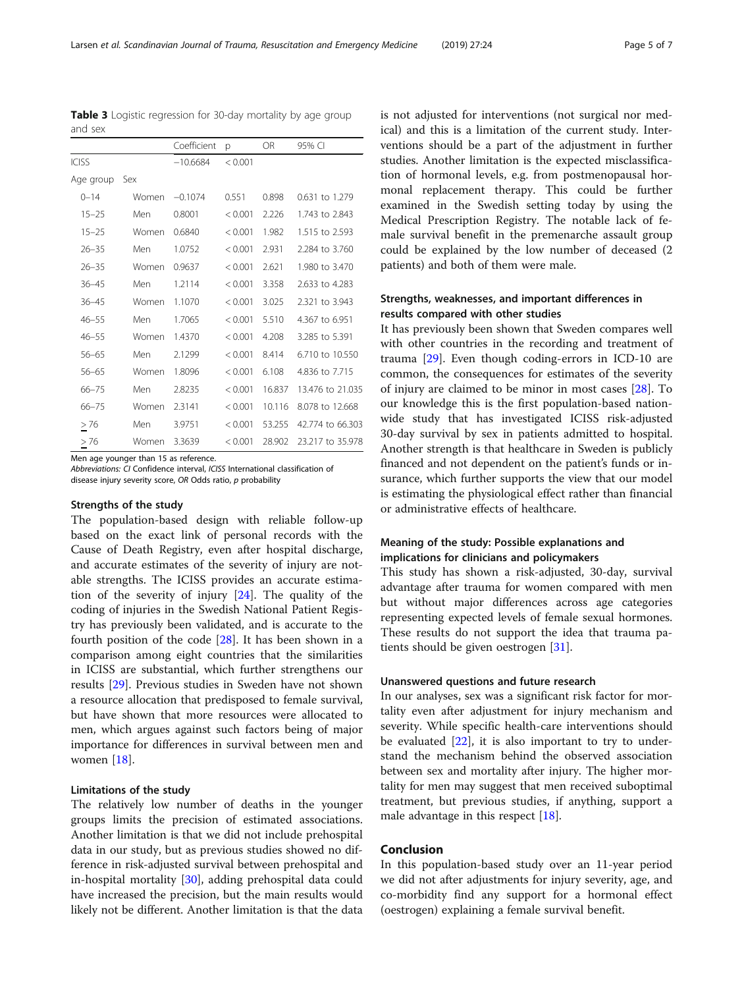Men age younger than 15 as reference.

Abbreviations: CI Confidence interval, ICISS International classification of disease injury severity score, OR Odds ratio, p probability

# Strengths of the study

The population-based design with reliable follow-up based on the exact link of personal records with the Cause of Death Registry, even after hospital discharge, and accurate estimates of the severity of injury are notable strengths. The ICISS provides an accurate estimation of the severity of injury [\[24](#page-5-0)]. The quality of the coding of injuries in the Swedish National Patient Registry has previously been validated, and is accurate to the fourth position of the code [[28\]](#page-6-0). It has been shown in a comparison among eight countries that the similarities in ICISS are substantial, which further strengthens our results [\[29\]](#page-6-0). Previous studies in Sweden have not shown a resource allocation that predisposed to female survival, but have shown that more resources were allocated to men, which argues against such factors being of major importance for differences in survival between men and women [[18\]](#page-5-0).

# Limitations of the study

The relatively low number of deaths in the younger groups limits the precision of estimated associations. Another limitation is that we did not include prehospital data in our study, but as previous studies showed no difference in risk-adjusted survival between prehospital and in-hospital mortality [\[30\]](#page-6-0), adding prehospital data could have increased the precision, but the main results would likely not be different. Another limitation is that the data is not adjusted for interventions (not surgical nor medical) and this is a limitation of the current study. Interventions should be a part of the adjustment in further studies. Another limitation is the expected misclassification of hormonal levels, e.g. from postmenopausal hormonal replacement therapy. This could be further examined in the Swedish setting today by using the Medical Prescription Registry. The notable lack of female survival benefit in the premenarche assault group could be explained by the low number of deceased (2 patients) and both of them were male.

# Strengths, weaknesses, and important differences in results compared with other studies

It has previously been shown that Sweden compares well with other countries in the recording and treatment of trauma [[29](#page-6-0)]. Even though coding-errors in ICD-10 are common, the consequences for estimates of the severity of injury are claimed to be minor in most cases [\[28](#page-6-0)]. To our knowledge this is the first population-based nationwide study that has investigated ICISS risk-adjusted 30-day survival by sex in patients admitted to hospital. Another strength is that healthcare in Sweden is publicly financed and not dependent on the patient's funds or insurance, which further supports the view that our model is estimating the physiological effect rather than financial or administrative effects of healthcare.

# Meaning of the study: Possible explanations and implications for clinicians and policymakers

This study has shown a risk-adjusted, 30-day, survival advantage after trauma for women compared with men but without major differences across age categories representing expected levels of female sexual hormones. These results do not support the idea that trauma patients should be given oestrogen [\[31](#page-6-0)].

# Unanswered questions and future research

In our analyses, sex was a significant risk factor for mortality even after adjustment for injury mechanism and severity. While specific health-care interventions should be evaluated  $[22]$  $[22]$  $[22]$ , it is also important to try to understand the mechanism behind the observed association between sex and mortality after injury. The higher mortality for men may suggest that men received suboptimal treatment, but previous studies, if anything, support a male advantage in this respect [[18](#page-5-0)].

# Conclusion

In this population-based study over an 11-year period we did not after adjustments for injury severity, age, and co-morbidity find any support for a hormonal effect (oestrogen) explaining a female survival benefit.

<span id="page-4-0"></span>Table 3 Logistic regression for 30-day mortality by age group and sex

|              |       | Coefficient | p       | OR.    | 95% CI           |
|--------------|-------|-------------|---------|--------|------------------|
| <b>ICISS</b> |       | $-10.6684$  | < 0.001 |        |                  |
| Age group    | Sex   |             |         |        |                  |
| $0 - 14$     | Women | $-0.1074$   | 0.551   | 0.898  | 0.631 to 1.279   |
| $15 - 25$    | Men   | 0.8001      | < 0.001 | 2.226  | 1.743 to 2.843   |
| $15 - 25$    | Women | 0.6840      | < 0.001 | 1.982  | 1.515 to 2.593   |
| $26 - 35$    | Men   | 1.0752      | < 0.001 | 2.931  | 2.284 to 3.760   |
| $26 - 35$    | Women | 0.9637      | < 0.001 | 2.621  | 1.980 to 3.470   |
| $36 - 45$    | Men   | 1.2114      | < 0.001 | 3.358  | 2.633 to 4.283   |
| $36 - 45$    | Women | 1.1070      | < 0.001 | 3.025  | 2.321 to 3.943   |
| $46 - 55$    | Men   | 1.7065      | < 0.001 | 5.510  | 4.367 to 6.951   |
| $46 - 55$    | Women | 1.4370      | < 0.001 | 4.208  | 3.285 to 5.391   |
| $56 - 65$    | Men   | 2.1299      | < 0.001 | 8.414  | 6.710 to 10.550  |
| $56 - 65$    | Women | 1.8096      | < 0.001 | 6.108  | 4.836 to 7.715   |
| $66 - 75$    | Men   | 2.8235      | < 0.001 | 16.837 | 13,476 to 21,035 |
| $66 - 75$    | Women | 2.3141      | < 0.001 | 10.116 | 8.078 to 12.668  |
| $\geq$ 76    | Men   | 3.9751      | < 0.001 | 53.255 | 42.774 to 66.303 |
| >76          | Women | 3.3639      | < 0.001 | 28.902 | 23.217 to 35.978 |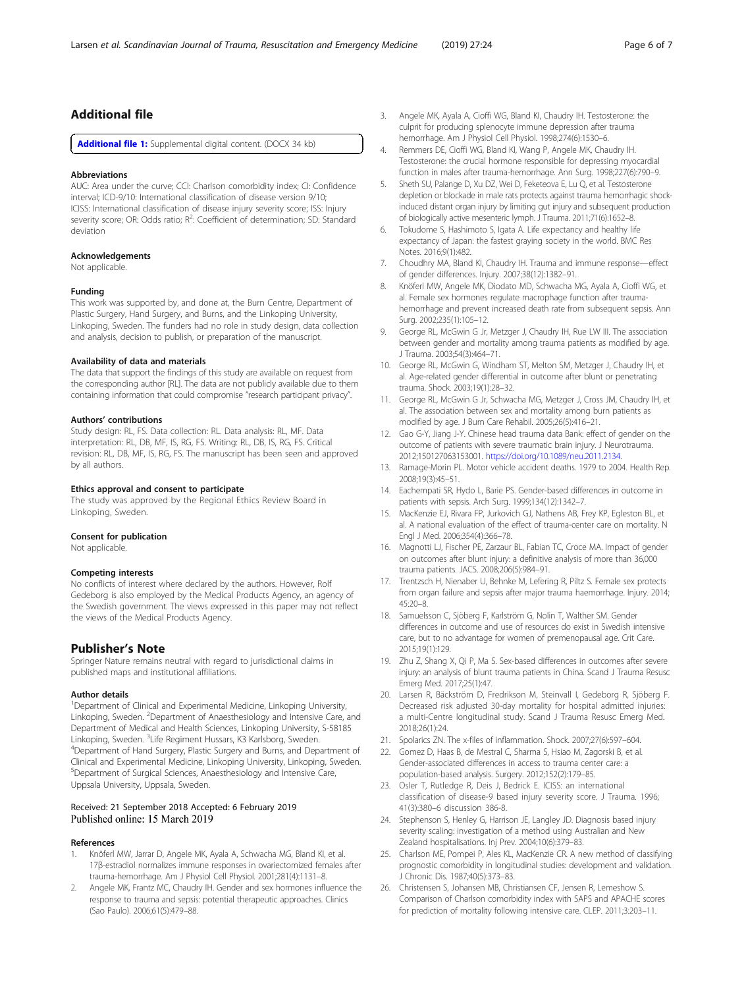# <span id="page-5-0"></span>Additional file

[Additional file 1:](https://doi.org/10.1186/s13049-019-0597-3) Supplemental digital content. (DOCX 34 kb)

#### Abbreviations

AUC: Area under the curve; CCI: Charlson comorbidity index; CI: Confidence interval; ICD-9/10: International classification of disease version 9/10; ICISS: International classification of disease injury severity score; ISS: Injury severity score; OR: Odds ratio; R<sup>2</sup>: Coefficient of determination; SD: Standard deviation

#### Acknowledgements

Not applicable.

#### Funding

This work was supported by, and done at, the Burn Centre, Department of Plastic Surgery, Hand Surgery, and Burns, and the Linkoping University, Linkoping, Sweden. The funders had no role in study design, data collection and analysis, decision to publish, or preparation of the manuscript.

#### Availability of data and materials

The data that support the findings of this study are available on request from the corresponding author [RL]. The data are not publicly available due to them containing information that could compromise "research participant privacy".

#### Authors' contributions

Study design: RL, FS. Data collection: RL. Data analysis: RL, MF. Data interpretation: RL, DB, MF, IS, RG, FS. Writing: RL, DB, IS, RG, FS. Critical revision: RL, DB, MF, IS, RG, FS. The manuscript has been seen and approved by all authors.

#### Ethics approval and consent to participate

The study was approved by the Regional Ethics Review Board in Linkoping, Sweden.

#### Consent for publication

Not applicable.

#### Competing interests

No conflicts of interest where declared by the authors. However, Rolf Gedeborg is also employed by the Medical Products Agency, an agency of the Swedish government. The views expressed in this paper may not reflect the views of the Medical Products Agency.

# Publisher's Note

Springer Nature remains neutral with regard to jurisdictional claims in published maps and institutional affiliations.

#### Author details

<sup>1</sup>Department of Clinical and Experimental Medicine, Linkoping University, Linkoping, Sweden. <sup>2</sup> Department of Anaesthesiology and Intensive Care, and Department of Medical and Health Sciences, Linkoping University, S-58185 Linkoping, Sweden. <sup>3</sup>Life Regiment Hussars, K3 Karlsborg, Sweden.<br><sup>4</sup>Department of Hand Surgeny, Plastic Surgeny and Burns, and Dep <sup>4</sup>Department of Hand Surgery, Plastic Surgery and Burns, and Department of Clinical and Experimental Medicine, Linkoping University, Linkoping, Sweden. 5 Department of Surgical Sciences, Anaesthesiology and Intensive Care, Uppsala University, Uppsala, Sweden.

# Received: 21 September 2018 Accepted: 6 February 2019 Published online: 15 March 2019

# References

- Knöferl MW, Jarrar D, Angele MK, Ayala A, Schwacha MG, Bland KI, et al. 17β-estradiol normalizes immune responses in ovariectomized females after trauma-hemorrhage. Am J Physiol Cell Physiol. 2001;281(4):1131–8.
- Angele MK, Frantz MC, Chaudry IH. Gender and sex hormones influence the response to trauma and sepsis: potential therapeutic approaches. Clinics (Sao Paulo). 2006;61(5):479–88.
- 3. Angele MK, Ayala A, Cioffi WG, Bland KI, Chaudry IH. Testosterone: the culprit for producing splenocyte immune depression after trauma hemorrhage. Am J Physiol Cell Physiol. 1998;274(6):1530–6.
- 4. Remmers DE, Cioffi WG, Bland KI, Wang P, Angele MK, Chaudry IH. Testosterone: the crucial hormone responsible for depressing myocardial function in males after trauma-hemorrhage. Ann Surg. 1998;227(6):790–9.
- 5. Sheth SU, Palange D, Xu DZ, Wei D, Feketeova E, Lu Q, et al. Testosterone depletion or blockade in male rats protects against trauma hemorrhagic shockinduced distant organ injury by limiting gut injury and subsequent production of biologically active mesenteric lymph. J Trauma. 2011;71(6):1652–8.
- 6. Tokudome S, Hashimoto S, Igata A. Life expectancy and healthy life expectancy of Japan: the fastest graying society in the world. BMC Res Notes. 2016;9(1):482.
- 7. Choudhry MA, Bland KI, Chaudry IH. Trauma and immune response—effect of gender differences. Injury. 2007;38(12):1382–91.
- 8. Knöferl MW, Angele MK, Diodato MD, Schwacha MG, Ayala A, Cioffi WG, et al. Female sex hormones regulate macrophage function after traumahemorrhage and prevent increased death rate from subsequent sepsis. Ann Surg. 2002;235(1):105–12.
- 9. George RL, McGwin G Jr, Metzger J, Chaudry IH, Rue LW III. The association between gender and mortality among trauma patients as modified by age. J Trauma. 2003;54(3):464–71.
- 10. George RL, McGwin G, Windham ST, Melton SM, Metzger J, Chaudry IH, et al. Age-related gender differential in outcome after blunt or penetrating trauma. Shock. 2003;19(1):28–32.
- 11. George RL, McGwin G Jr, Schwacha MG, Metzger J, Cross JM, Chaudry IH, et al. The association between sex and mortality among burn patients as modified by age. J Burn Care Rehabil. 2005;26(5):416–21.
- 12. Gao G-Y, Jiang J-Y. Chinese head trauma data Bank: effect of gender on the outcome of patients with severe traumatic brain injury. J Neurotrauma. 2012;150127063153001. [https://doi.org/10.1089/neu.2011.2134.](https://doi.org/10.1089/neu.2011.2134)
- 13. Ramage-Morin PL. Motor vehicle accident deaths. 1979 to 2004. Health Rep. 2008;19(3):45–51.
- 14. Eachempati SR, Hydo L, Barie PS. Gender-based differences in outcome in patients with sepsis. Arch Surg. 1999;134(12):1342–7.
- 15. MacKenzie EJ, Rivara FP, Jurkovich GJ, Nathens AB, Frey KP, Egleston BL, et al. A national evaluation of the effect of trauma-center care on mortality. N Engl J Med. 2006;354(4):366–78.
- 16. Magnotti LJ, Fischer PE, Zarzaur BL, Fabian TC, Croce MA. Impact of gender on outcomes after blunt injury: a definitive analysis of more than 36,000 trauma patients. JACS. 2008;206(5):984–91.
- 17. Trentzsch H, Nienaber U, Behnke M, Lefering R, Piltz S. Female sex protects from organ failure and sepsis after major trauma haemorrhage. Injury. 2014; 45:20–8.
- 18. Samuelsson C, Sjöberg F, Karlström G, Nolin T, Walther SM. Gender differences in outcome and use of resources do exist in Swedish intensive care, but to no advantage for women of premenopausal age. Crit Care. 2015;19(1):129.
- 19. Zhu Z, Shang X, Qi P, Ma S. Sex-based differences in outcomes after severe injury: an analysis of blunt trauma patients in China. Scand J Trauma Resusc Emerg Med. 2017;25(1):47.
- 20. Larsen R, Bäckström D, Fredrikson M, Steinvall I, Gedeborg R, Sjöberg F. Decreased risk adjusted 30-day mortality for hospital admitted injuries: a multi-Centre longitudinal study. Scand J Trauma Resusc Emerg Med. 2018;26(1):24.
- 21. Spolarics ZN. The x-files of inflammation. Shock. 2007;27(6):597–604.
- 22. Gomez D, Haas B, de Mestral C, Sharma S, Hsiao M, Zagorski B, et al. Gender-associated differences in access to trauma center care: a population-based analysis. Surgery. 2012;152(2):179–85.
- 23. Osler T, Rutledge R, Deis J, Bedrick E. ICISS: an international classification of disease-9 based injury severity score. J Trauma. 1996; 41(3):380–6 discussion 386-8.
- 24. Stephenson S, Henley G, Harrison JE, Langley JD. Diagnosis based injury severity scaling: investigation of a method using Australian and New Zealand hospitalisations. Inj Prev. 2004;10(6):379–83.
- 25. Charlson ME, Pompei P, Ales KL, MacKenzie CR. A new method of classifying prognostic comorbidity in longitudinal studies: development and validation. J Chronic Dis. 1987;40(5):373–83.
- 26. Christensen S, Johansen MB, Christiansen CF, Jensen R, Lemeshow S. Comparison of Charlson comorbidity index with SAPS and APACHE scores for prediction of mortality following intensive care. CLEP. 2011;3:203–11.